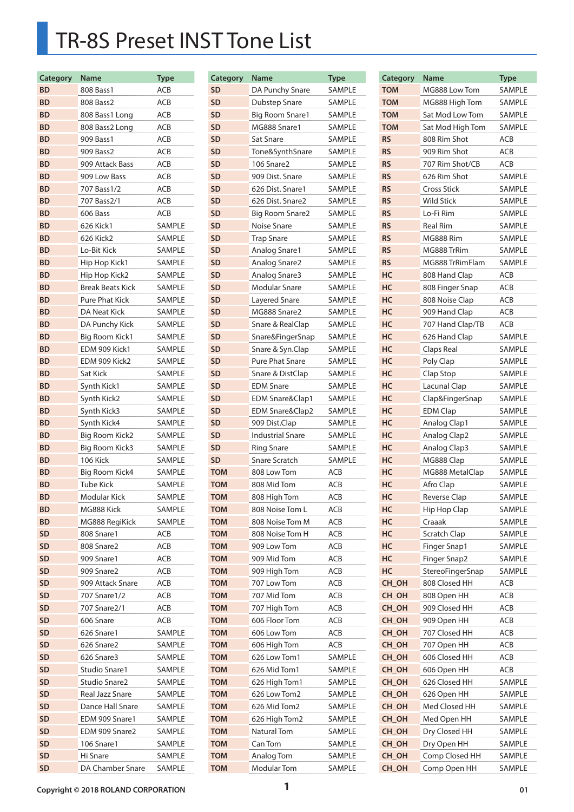## TR-8S Preset INST Tone List

| Category  | <b>Name</b>             | <b>Type</b> |
|-----------|-------------------------|-------------|
| BD        | 808 Bass1               | ACB         |
| BD        | 808 Bass2               | ACB         |
| BD        | 808 Bass1 Long          | ACB         |
| BD        | 808 Bass2 Long          | ACB         |
| BD        | 909 Bass1               | ACB         |
| BD        | 909 Bass2               | ACB         |
| BD        | 909 Attack Bass         | ACB         |
| <b>BD</b> | 909 Low Bass            | ACB         |
| BD        | 707 Bass1/2             | ACB         |
| BD        | 707 Bass2/1             | ACB         |
| BD        | 606 Bass                | ACB         |
| BD        | 626 Kick1               | SAMPLE      |
| <b>BD</b> | 626 Kick2               | SAMPLE      |
| <b>BD</b> | Lo-Bit Kick             | SAMPLE      |
| BD        | Hip Hop Kick1           | SAMPLE      |
| BD        | Hip Hop Kick2           | SAMPLE      |
| BD        | <b>Break Beats Kick</b> | SAMPLE      |
| <b>BD</b> | <b>Pure Phat Kick</b>   | SAMPLE      |
| BD        | <b>DA Neat Kick</b>     | SAMPLE      |
| BD        | DA Punchy Kick          | SAMPLE      |
| <b>BD</b> | Big Room Kick1          | SAMPLE      |
| BD        | EDM 909 Kick1           | SAMPLE      |
| BD        | EDM 909 Kick2           | SAMPLE      |
| BD        | Sat Kick                | SAMPLE      |
| BD        | Synth Kick1             | SAMPLE      |
| BD        | Synth Kick2             | SAMPLE      |
| BD        | Synth Kick3             | SAMPLE      |
| BD        | Synth Kick4             | SAMPLE      |
| BD        | <b>Big Room Kick2</b>   | SAMPLE      |
| BD        | Big Room Kick3          | SAMPLE      |
| BD        | <b>106 Kick</b>         | SAMPLE      |
| <b>BD</b> | Big Room Kick4          | SAMPLE      |
| <b>BD</b> | Tube Kick               | SAMPLE      |
| <b>BD</b> | Modular Kick            | SAMPLE      |
| <b>BD</b> | MG888 Kick              | SAMPLE      |
| <b>BD</b> | MG888 RegiKick          | SAMPLE      |
| <b>SD</b> | 808 Snare1              | ACB         |
| <b>SD</b> | 808 Snare2              | ACB         |
| <b>SD</b> | 909 Snare1              | ACB         |
| <b>SD</b> | 909 Snare2              | ACB         |
| <b>SD</b> | 909 Attack Snare        | ACB         |
| <b>SD</b> | 707 Snare1/2            | ACB         |
| SD        | 707 Snare2/1            | ACB         |
| <b>SD</b> | 606 Snare               | ACB         |
| <b>SD</b> | 626 Snare1              | SAMPLE      |
| <b>SD</b> | 626 Snare2              | SAMPLE      |
| <b>SD</b> | 626 Snare3              | SAMPLE      |
| <b>SD</b> | Studio Snare1           | SAMPLE      |
| <b>SD</b> | Studio Snare2           | SAMPLE      |
| <b>SD</b> | Real Jazz Snare         | SAMPLE      |
| <b>SD</b> | Dance Hall Snare        | SAMPLE      |
| <b>SD</b> | EDM 909 Snare1          | SAMPLE      |
| <b>SD</b> | EDM 909 Snare2          | SAMPLE      |
| <b>SD</b> | 106 Snare1              | SAMPLE      |
| <b>SD</b> | Hi Snare                | SAMPLE      |
| <b>SD</b> | DA Chamber Snare        | SAMPLE      |

| <b>Category</b> | Name                    | <b>Type</b>   |
|-----------------|-------------------------|---------------|
| <b>SD</b>       | DA Punchy Snare         | SAMPLE        |
| <b>SD</b>       | Dubstep Snare           | <b>SAMPLE</b> |
| <b>SD</b>       | Big Room Snare1         | SAMPLE        |
| <b>SD</b>       | MG888 Snare1            | SAMPLE        |
| <b>SD</b>       | Sat Snare               | SAMPLE        |
| <b>SD</b>       | Tone&SynthSnare         | SAMPLE        |
| <b>SD</b>       | 106 Snare2              | <b>SAMPLE</b> |
| <b>SD</b>       | 909 Dist. Snare         | SAMPLE        |
|                 | 626 Dist. Snare1        |               |
| <b>SD</b>       |                         | SAMPLE        |
| <b>SD</b>       | 626 Dist. Snare2        | <b>SAMPLE</b> |
| <b>SD</b>       | Big Room Snare2         | SAMPLE        |
| <b>SD</b>       | Noise Snare             | SAMPLE        |
| <b>SD</b>       | <b>Trap Snare</b>       | SAMPLE        |
| <b>SD</b>       | Analog Snare1           | <b>SAMPLE</b> |
| <b>SD</b>       | Analog Snare2           | SAMPLE        |
| <b>SD</b>       | Analog Snare3           | SAMPLE        |
| <b>SD</b>       | <b>Modular Snare</b>    | SAMPLE        |
| <b>SD</b>       | Layered Snare           | SAMPLE        |
| <b>SD</b>       | MG888 Snare2            | SAMPLE        |
| <b>SD</b>       | Snare & RealClap        | SAMPLE        |
| <b>SD</b>       | Snare&FingerSnap        | SAMPLE        |
| <b>SD</b>       | Snare & Syn.Clap        | SAMPLE        |
| <b>SD</b>       | Pure Phat Snare         | SAMPLE        |
| <b>SD</b>       | Snare & DistClap        | SAMPLE        |
| <b>SD</b>       | <b>EDM Snare</b>        | SAMPLE        |
| <b>SD</b>       | EDM Snare&Clap1         | SAMPLE        |
| <b>SD</b>       | EDM Snare&Clap2         | SAMPLE        |
| <b>SD</b>       | 909 Dist.Clap           | SAMPLE        |
| <b>SD</b>       | <b>Industrial Snare</b> | SAMPLE        |
| <b>SD</b>       | <b>Ring Snare</b>       | SAMPLE        |
| <b>SD</b>       | Snare Scratch           | SAMPLE        |
| <b>TOM</b>      | 808 Low Tom             | <b>ACB</b>    |
| <b>TOM</b>      | 808 Mid Tom             | ACB           |
| <b>TOM</b>      | 808 High Tom            | ACB           |
| том             | 808 Noise Tom L         | ACB           |
| <b>TOM</b>      | 808 Noise Tom M         | ACB           |
| <b>TOM</b>      | 808 Noise Tom H         | ACB           |
| <b>TOM</b>      | 909 Low Tom             | ACB           |
| <b>TOM</b>      | 909 Mid Tom             | ACB           |
| <b>TOM</b>      | 909 High Tom            | ACB           |
| <b>TOM</b>      | 707 Low Tom             | ACB           |
| <b>TOM</b>      | 707 Mid Tom             | ACB           |
| <b>TOM</b>      | 707 High Tom            | ACB           |
| <b>TOM</b>      | 606 Floor Tom           | ACB           |
| <b>TOM</b>      | 606 Low Tom             | ACB           |
| <b>TOM</b>      | 606 High Tom            | ACB           |
| <b>TOM</b>      | 626 Low Tom1            | SAMPLE        |
| <b>TOM</b>      | 626 Mid Tom1            | SAMPLE        |
| TOM             | 626 High Tom1           | SAMPLE        |
| TOM             | 626 Low Tom2            | SAMPLE        |
| <b>TOM</b>      | 626 Mid Tom2            | SAMPLE        |
| <b>TOM</b>      | 626 High Tom2           | SAMPLE        |
| <b>TOM</b>      | Natural Tom             | SAMPLE        |
| <b>TOM</b>      | Can Tom                 | SAMPLE        |
| <b>TOM</b>      | Analog Tom              | SAMPLE        |
| <b>TOM</b>      | Modular Tom             | SAMPLE        |

| Category   | Name                | <b>Type</b>   |
|------------|---------------------|---------------|
| <b>TOM</b> | MG888 Low Tom       | SAMPLE        |
| <b>TOM</b> | MG888 High Tom      | SAMPLE        |
| <b>TOM</b> | Sat Mod Low Tom     | <b>SAMPLE</b> |
| <b>TOM</b> | Sat Mod High Tom    | SAMPLE        |
| <b>RS</b>  | 808 Rim Shot        | ACB           |
| <b>RS</b>  | 909 Rim Shot        | ACB           |
| <b>RS</b>  | 707 Rim Shot/CB     | ACB           |
| <b>RS</b>  | 626 Rim Shot        | SAMPLE        |
| <b>RS</b>  | <b>Cross Stick</b>  | <b>SAMPLE</b> |
| <b>RS</b>  | <b>Wild Stick</b>   | SAMPLE        |
| <b>RS</b>  | Lo-Fi Rim           | SAMPLE        |
| <b>RS</b>  | <b>Real Rim</b>     | SAMPLE        |
| <b>RS</b>  | MG888 Rim           | SAMPLE        |
| <b>RS</b>  | MG888 TrRim         | SAMPLE        |
| <b>RS</b>  | MG888 TrRimFlam     | SAMPLE        |
| HC         | 808 Hand Clap       | ACB           |
| HC         | 808 Finger Snap     | ACB           |
| HC         | 808 Noise Clap      | ACB           |
| HC         | 909 Hand Clap       | ACB           |
| HC         | 707 Hand Clap/TB    | <b>ACB</b>    |
| HC         | 626 Hand Clap       | SAMPLE        |
| HC         | Claps Real          | SAMPLE        |
| HC         | Poly Clap           | SAMPLE        |
| HC         | Clap Stop           | <b>SAMPLE</b> |
| HC         | Lacunal Clap        | <b>SAMPLE</b> |
| HC         |                     | SAMPLE        |
|            | Clap&FingerSnap     |               |
| HC         | <b>EDM Clap</b>     | SAMPLE        |
| HC         | Analog Clap1        | SAMPLE        |
| HC         | Analog Clap2        | SAMPLE        |
| HC         | Analog Clap3        | <b>SAMPLE</b> |
| HC         | MG888 Clap          | SAMPLE        |
| HC         | MG888 MetalClap     | SAMPLE        |
| HC         | Afro Clap           | SAMPLE        |
| HC         | <b>Reverse Clap</b> | SAMPLE        |
| HC         | Hip Hop Clap        | SAMPLE        |
| HC         | Craaak              | SAMPLE        |
| HC         | Scratch Clap        | SAMPLE        |
| HC         | Finger Snap1        | SAMPLE        |
| HC         | Finger Snap2        | SAMPLE        |
| HC         | StereoFingerSnap    | SAMPLE        |
| CH_OH      | 808 Closed HH       | ACB           |
| CH OH      | 808 Open HH         | ACB           |
| CH_OH      | 909 Closed HH       | ACB           |
| CH_OH      | 909 Open HH         | ACB           |
| CH_OH      | 707 Closed HH       | ACB           |
| CH OH      | 707 Open HH         | ACB           |
| CH_OH      | 606 Closed HH       | ACB           |
| CH_OH      | 606 Open HH         | ACB           |
| CH_OH      | 626 Closed HH       | SAMPLE        |
| CH_OH      | 626 Open HH         | SAMPLE        |
| CH_OH      | Med Closed HH       | SAMPLE        |
| CH_OH      | Med Open HH         | SAMPLE        |
| CH_OH      | Dry Closed HH       | SAMPLE        |
| CH OH      | Dry Open HH         | SAMPLE        |
| CH_OH      | Comp Closed HH      | SAMPLE        |
| CH_OH      | Comp Open HH        | SAMPLE        |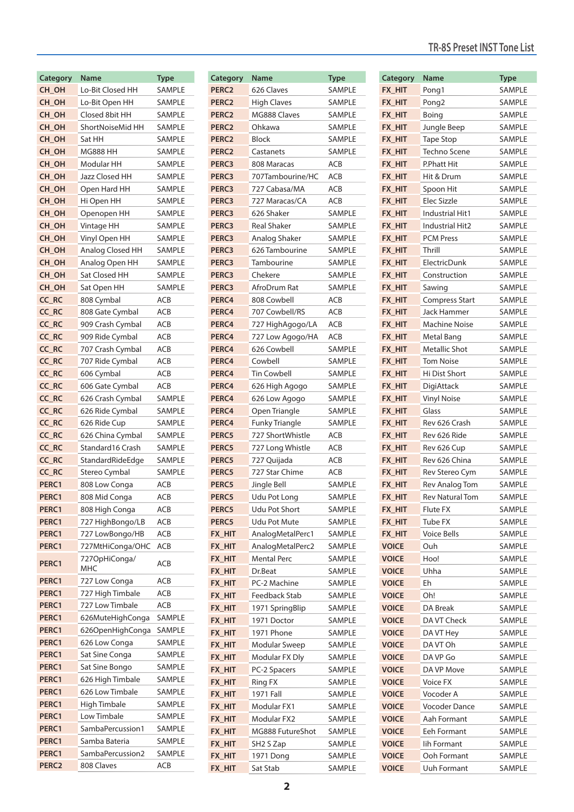| Category          | Name                  | <b>Type</b>      |
|-------------------|-----------------------|------------------|
| CH_OH             | Lo-Bit Closed HH      | SAMPLE           |
| CH_OH             | Lo-Bit Open HH        | SAMPLE           |
| CH_OH             | Closed 8bit HH        | SAMPLE           |
| CH OH             | ShortNoiseMid HH      | <b>SAMPLE</b>    |
| CH OH             | Sat HH                | SAMPLE           |
| CH OH             | <b>MG888 HH</b>       | SAMPLE           |
| CH_OH             | Modular HH            | SAMPLE           |
| CH OH             | <b>Jazz Closed HH</b> | SAMPLE           |
| CH_OH             | Open Hard HH          | SAMPLE           |
| CH_OH             | Hi Open HH            | SAMPLE           |
| CH_OH             | Openopen HH           | SAMPLE           |
| CH OH             | Vintage HH            | SAMPLE           |
| CH_OH             | Vinyl Open HH         | SAMPLE           |
| CH OH             | Analog Closed HH      | SAMPLE           |
| CH OH             | Analog Open HH        | SAMPLE           |
| CH_OH             | Sat Closed HH         |                  |
| CH_OH             |                       | SAMPLE<br>SAMPLE |
|                   | Sat Open HH           |                  |
| CC_RC             | 808 Cymbal            | ACB              |
| CC RC             | 808 Gate Cymbal       | ACB              |
| CC RC             | 909 Crash Cymbal      | ACB              |
| CC_RC             | 909 Ride Cymbal       | ACB              |
| CC_RC             | 707 Crash Cymbal      | ACB              |
| CC RC             | 707 Ride Cymbal       | ACB              |
| CC_RC             | 606 Cymbal            | ACB              |
| CC_RC             | 606 Gate Cymbal       | ACB              |
| CC RC             | 626 Crash Cymbal      | SAMPLE           |
| CC RC             | 626 Ride Cymbal       | SAMPLE           |
| CC RC             | 626 Ride Cup          | SAMPLE           |
| CC RC             | 626 China Cymbal      | SAMPLE           |
| CC RC             | Standard 16 Crash     | SAMPLE           |
| CC_RC             | StandardRideEdge      | SAMPLE           |
| CC_RC             | Stereo Cymbal         | <b>SAMPLE</b>    |
| PERC1             | 808 Low Conga         | ACB              |
| PERC1             | 808 Mid Conga         | ACB              |
| PERC1             | 808 High Conga        | ACB              |
| PERC1             | 727 HighBongo/LB      | ACB              |
| PERC1             | 727 LowBongo/HB       | ACB              |
| PERC1             | 727MtHiConga/OHC      | ACB              |
|                   | 727OpHiConga/         |                  |
| PERC1             | MHC                   | ACB              |
| PERC1             | 727 Low Conga         | ACB              |
| PERC1             | 727 High Timbale      | ACB              |
| PERC1             | 727 Low Timbale       | ACB              |
| PERC1             | 626MuteHighConga      | SAMPLE           |
| PERC1             | 626OpenHighConga      | SAMPLE           |
| PERC1             | 626 Low Conga         | SAMPLE           |
| PERC1             |                       |                  |
|                   | Sat Sine Conga        | SAMPLE           |
| PERC1             | Sat Sine Bongo        | SAMPLE           |
| PERC1             | 626 High Timbale      | SAMPLE           |
| PERC1             | 626 Low Timbale       | SAMPLE           |
| PERC1             | High Timbale          | SAMPLE           |
| PERC1             | Low Timbale           | SAMPLE           |
| PERC1             | SambaPercussion1      | SAMPLE           |
| PERC1             | Samba Bateria         | SAMPLE           |
| PERC1             | SambaPercussion2      | SAMPLE           |
| PERC <sub>2</sub> | 808 Claves            | ACB              |

| <b>Category</b>   | Name                  | <b>Type</b>   |
|-------------------|-----------------------|---------------|
| PERC <sub>2</sub> | 626 Claves            | SAMPLE        |
| PERC <sub>2</sub> | <b>High Claves</b>    | SAMPLE        |
| PERC <sub>2</sub> | MG888 Claves          | SAMPLE        |
| PERC <sub>2</sub> | Ohkawa                | SAMPLE        |
| PERC <sub>2</sub> | Block                 | SAMPLE        |
| PERC <sub>2</sub> | Castanets             | <b>SAMPLE</b> |
| PERC3             | 808 Maracas           | ACB           |
| PERC3             | 707Tambourine/HC      | <b>ACB</b>    |
| PERC3             | 727 Cabasa/MA         | ACB           |
| PERC3             | 727 Maracas/CA        | ACB           |
| PERC3             | 626 Shaker            | SAMPLE        |
| <b>PERC3</b>      | <b>Real Shaker</b>    | SAMPLE        |
| PERC3             | Analog Shaker         | SAMPLE        |
| PERC3             | 626 Tambourine        | SAMPLE        |
| PERC3             | Tambourine            | SAMPLE        |
| PERC3             | Chekere               | SAMPLE        |
| PERC3             | AfroDrum Rat          | <b>SAMPLE</b> |
| PERC4             | 808 Cowbell           | ACB           |
| PERC4             | 707 Cowbell/RS        | ACB           |
|                   |                       |               |
| PERC4             | 727 HighAgogo/LA      | ACB           |
| PERC4             | 727 Low Agogo/HA      | ACB           |
| PERC4             | 626 Cowbell           | SAMPLE        |
| PERC4             | Cowbell               | SAMPLE        |
| PERC4             | <b>Tin Cowbell</b>    | SAMPLE        |
| PERC4             | 626 High Agogo        | SAMPLE        |
| PERC4             | 626 Low Agogo         | SAMPLE        |
| PERC4             | Open Triangle         | SAMPLE        |
| PERC4             | <b>Funky Triangle</b> | SAMPLE        |
| PERC5             | 727 ShortWhistle      | ACB           |
| PERC5             | 727 Long Whistle      | ACB           |
| PERC5             | 727 Quijada           | ACB           |
| PERC5             | 727 Star Chime        | ACB           |
| PERC5             | Jingle Bell           | SAMPLE        |
| PERC5             | <b>Udu Pot Long</b>   | SAMPLE        |
| PERC5             | Udu Pot Short         | SAMPLE        |
| PERC5             | <b>Udu Pot Mute</b>   | SAMPLE        |
| FX HIT            | AnalogMetalPerc1      | SAMPLE        |
| FX_HIT            | AnalogMetalPerc2      | SAMPLE        |
| FX_HIT            | <b>Mental Perc</b>    | SAMPLE        |
| FX_HIT            | Dr.Beat               | SAMPLE        |
| FX HIT            | PC-2 Machine          | SAMPLE        |
| FX_HIT            | Feedback Stab         | SAMPLE        |
| FX_HIT            | 1971 SpringBlip       | SAMPLE        |
| FX_HIT            | 1971 Doctor           | SAMPLE        |
| FX_HIT            | 1971 Phone            | SAMPLE        |
| FX_HIT            | Modular Sweep         | SAMPLE        |
| FX_HIT            | Modular FX Dly        | SAMPLE        |
| FX_HIT            | PC-2 Spacers          | SAMPLE        |
| fx_hit            | <b>Ring FX</b>        | SAMPLE        |
| fx_hit            | 1971 Fall             | SAMPLE        |
| FX HIT            | Modular FX1           | SAMPLE        |
| FX HIT            | Modular FX2           | SAMPLE        |
| FX_HIT            | MG888 FutureShot      | SAMPLE        |
| FX_HIT            | SH <sub>2</sub> S Zap | SAMPLE        |
| FX_HIT            | 1971 Dong             | SAMPLE        |
| FX_HIT            | Sat Stab              | SAMPLE        |
|                   |                       |               |

## **TR-8S Preset INST Tone List**

| Category      | Name                   | <b>Type</b>   |
|---------------|------------------------|---------------|
| FX HIT        | Pong1                  | SAMPLE        |
| FX HIT        | Pong2                  | <b>SAMPLE</b> |
| FX HIT        | Boing                  | SAMPLE        |
| FX HIT        | Jungle Beep            | <b>SAMPLE</b> |
| FX_HIT        | <b>Tape Stop</b>       | <b>SAMPLE</b> |
| FX_HIT        | Techno Scene           | SAMPLE        |
| FX_HIT        | P.Phatt Hit            | SAMPLE        |
| FX_HIT        | Hit & Drum             | <b>SAMPLE</b> |
| FX HIT        | Spoon Hit              | <b>SAMPLE</b> |
| FX HIT        | <b>Elec Sizzle</b>     | <b>SAMPLE</b> |
| FX HIT        | Industrial Hit1        | <b>SAMPLE</b> |
| FX HIT        | Industrial Hit2        | SAMPLE        |
| FX_HIT        | <b>PCM Press</b>       | SAMPLE        |
| FX_HIT        | Thrill                 | SAMPLE        |
| FX_HIT        | ElectricDunk           | <b>SAMPLE</b> |
| FX HIT        | Construction           | SAMPLE        |
| FX HIT        | Sawing                 | <b>SAMPLE</b> |
| FX HIT        | <b>Compress Start</b>  | SAMPLE        |
| FX HIT        | Jack Hammer            | SAMPLE        |
| FX_HIT        | <b>Machine Noise</b>   | <b>SAMPLE</b> |
| FX_HIT        | Metal Bang             | SAMPLE        |
| FX_HIT        | Metallic Shot          | SAMPLE        |
| FX HIT        | <b>Tom Noise</b>       | <b>SAMPLE</b> |
| FX HIT        | Hi Dist Short          | <b>SAMPLE</b> |
| <b>FX HIT</b> | DigiAttack             | <b>SAMPLE</b> |
| <b>FX HIT</b> | <b>Vinyl Noise</b>     | <b>SAMPLE</b> |
| FX HIT        | Glass                  | SAMPLE        |
| FX_HIT        | Rev 626 Crash          | SAMPLE        |
| FX_HIT        | Rev 626 Ride           | SAMPLE        |
| FX_HIT        | Rev 626 Cup            | SAMPLE        |
| FX_HIT        | Rev 626 China          | SAMPLE        |
| <b>FX HIT</b> | Rev Stereo Cym         | SAMPLE        |
| FX HIT        | <b>Rev Analog Tom</b>  | SAMPLE        |
| FX_HIT        | <b>Rev Natural Tom</b> | SAMPLE        |
| <b>FX HIT</b> | Flute FX               | SAMPLE        |
| FX_HIT        | Tube FX                | SAMPLE        |
| FX HIT        | Voice Bells            | SAMPLE        |
| <b>VOICE</b>  | Ouh                    | SAMPLE        |
| <b>VOICE</b>  | Hoo!                   | SAMPLE        |
| <b>VOICE</b>  | Uhha                   | SAMPLE        |
| <b>VOICE</b>  | Eh                     | SAMPLE        |
| <b>VOICE</b>  | Oh!                    | SAMPLE        |
| <b>VOICE</b>  | <b>DA Break</b>        | SAMPLE        |
| <b>VOICE</b>  | DA VT Check            | <b>SAMPLE</b> |
| <b>VOICE</b>  | DA VT Hey              | SAMPLE        |
| <b>VOICE</b>  | DA VT Oh               | SAMPLE        |
| <b>VOICE</b>  | DA VP Go               | SAMPLE        |
| <b>VOICE</b>  | DA VP Move             | SAMPLE        |
| <b>VOICE</b>  | Voice FX               | SAMPLE        |
| <b>VOICE</b>  | Vocoder A              | SAMPLE        |
| <b>VOICE</b>  | Vocoder Dance          | SAMPLE        |
| <b>VOICE</b>  | Aah Formant            | SAMPLE        |
| <b>VOICE</b>  | Eeh Formant            | SAMPLE        |
| <b>VOICE</b>  | lih Formant            | SAMPLE        |
| <b>VOICE</b>  | Ooh Formant            | SAMPLE        |
| <b>VOICE</b>  | Uuh Formant            | SAMPLE        |